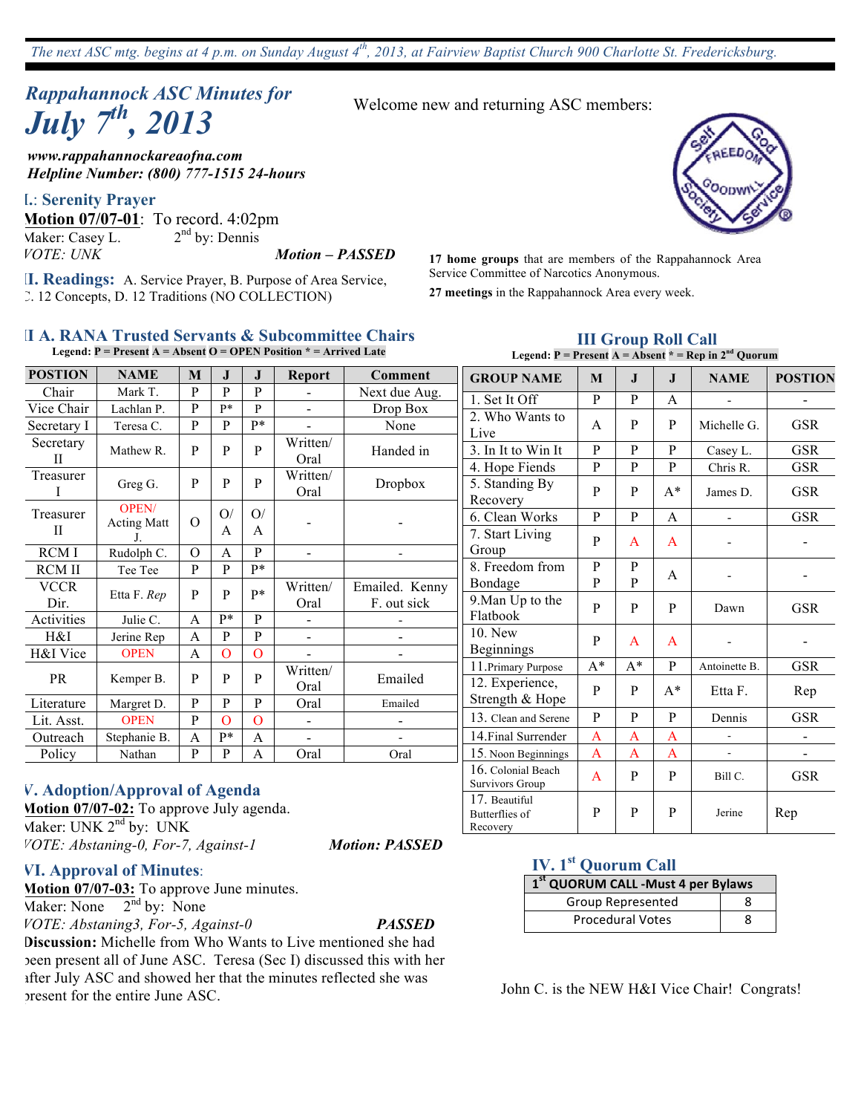# *Rappahannock ASC Minutes for July 7th , 2013*

*www.rappahannockareaofna.com Helpline Number: (800) 777-1515 24-hours*

#### **I.**: **Serenity Prayer**

**Motion 07/07-01**: To record. 4:02pm<br>Maker: Casey L. 2<sup>nd</sup> by: Dennis Maker: Casey L. *VOTE: UNK Motion – PASSED*

**II. Readings:** A. Service Prayer, B. Purpose of Area Service, C. 12 Concepts, D. 12 Traditions (NO COLLECTION)

Welcome new and returning ASC members:

**17 home groups** that are members of the Rappahannock Area Service Committee of Narcotics Anonymous.

**27 meetings** in the Rappahannock Area every week.

1. Set It Off  $P \mid P \mid A$ 

2. Who Wants to

#### **II A. RANA Trusted Servants & Subcommittee Chairs Legend: P = Present A = Absent O = OPEN Position \* = Arrived Late**

| <b>POSTION</b>    | <b>NAME</b>                              | $\bf{M}$       | $\mathbf{J}$ | $\mathbf{J}$   | <b>Report</b>    | <b>Comment</b>                |
|-------------------|------------------------------------------|----------------|--------------|----------------|------------------|-------------------------------|
| Chair             | Mark T.                                  | P              | P            | P              |                  | Next due Aug.                 |
| Vice Chair        | Lachlan P.                               | P              | P*           | P              |                  | Drop Box                      |
| Secretary I       | Teresa C.                                | P              | P            | $P*$           |                  | None                          |
| Secretary<br>П    | Mathew R.                                | P              | P            | P              | Written/<br>Oral | Handed in                     |
| Treasurer<br>I    | Greg G.                                  | P              | P            | P              | Written/<br>Oral | Dropbox                       |
| Treasurer<br>Н    | <b>OPEN/</b><br><b>Acting Matt</b><br>J. | O              | O/<br>A      | O/<br>A        |                  |                               |
| RCM I             | Rudolph C.                               | $\overline{O}$ | A            | P              |                  |                               |
| <b>RCM II</b>     | Tee Tee                                  | P              | P            | p*             |                  |                               |
| VCCR<br>Dir.      | Etta F. Rep                              | P              | P            | $P*$           | Written/<br>Oral | Emailed. Kenny<br>F. out sick |
| <b>Activities</b> | Julie C.                                 | A              | P*           | P              |                  |                               |
| H&I               | Jerine Rep                               | A              | P            | P              |                  |                               |
| H&I Vice          | <b>OPEN</b>                              | A              | O            | $\overline{O}$ |                  |                               |
| <b>PR</b>         | Kemper B.                                | P              | P            | P              | Written/<br>Oral | Emailed                       |
| Literature        | Margret D.                               | P              | P            | $\mathbf{P}$   | Oral             | Emailed                       |
| Lit. Asst.        | <b>OPEN</b>                              | P              | O            | $\overline{O}$ |                  |                               |
| Outreach          | Stephanie B.                             | A              | P*           | A              |                  |                               |
| Policy            | Nathan                                   | P              | P            | A              | Oral             | Oral                          |

| $\epsilon$ . $\alpha$ $\alpha$ $\beta$<br>Live | A      | P                | P              | Michelle G.   | GSR        |
|------------------------------------------------|--------|------------------|----------------|---------------|------------|
| 3. In It to Win It                             | P      | P                | P              | Casey L.      | <b>GSR</b> |
| 4. Hope Fiends                                 | P      | P                | P              | Chris R.      | <b>GSR</b> |
| 5. Standing By<br>Recovery                     | P      | P                | $A^*$          | James D.      | GSR        |
| 6. Clean Works                                 | P      | P                | A              |               | <b>GSR</b> |
| 7. Start Living<br>Group                       | P      | A                | A              |               |            |
| 8. Freedom from<br>Bondage                     | P<br>P | $\mathbf P$<br>P | A              |               |            |
| 9. Man Up to the<br>Flatbook                   | P      | P                | P              | Dawn          | GSR        |
| 10. New<br>Beginnings                          | P      | A                | A              |               |            |
| 11. Primary Purpose                            | $A^*$  | $\mathrm{A}^*$   | $\mathbf{P}$   | Antoinette B. | <b>GSR</b> |
| 12. Experience,<br>Strength & Hope             | P      | P                | $A^*$          | Etta F.       | Rep        |
| 13. Clean and Serene                           | P      | P                | P              | Dennis        | GSR        |
| 14. Final Surrender                            | A      | $\mathsf{A}$     | $\overline{A}$ |               |            |
| 15. Noon Beginnings                            | A      | A                | A              |               |            |
| 16. Colonial Beach<br>Survivors Group          | A      | P                | $\mathbf{P}$   | Bill C.       | GSR        |
| 17. Beautiful<br>Butterflies of<br>Recovery    | P      | P                | P              | Jerine        | Rep        |

**III Group Roll Call Legend:**  $P =$  Present  $A =$  Absent  $* =$  Rep in  $2^{nd}$  Quorum

**GROUP NAME M J J NAME POSTION**

#### **V. Adoption/Approval of Agenda**

**Motion 07/07-02:** To approve July agenda. Maker: UNK 2<sup>nd</sup> by: UNK *VOTE: Abstaning-0, For-7, Against-1 Motion: PASSED*

**VI. Approval of Minutes**:

**Motion 07/07-03:** To approve June minutes.

 $\overline{\text{Maker: None}}$  2<sup>nd</sup> by: None

*VOTE: Abstaning3, For-5, Against-0 PASSED*

**Discussion:** Michelle from Who Wants to Live mentioned she had been present all of June ASC. Teresa (Sec I) discussed this with her after July ASC and showed her that the minutes reflected she was present for the entire June ASC.

#### **IV. 1st Quorum Call**

| 1 <sup>st</sup> QUORUM CALL -Must 4 per Bylaws |  |  |  |  |
|------------------------------------------------|--|--|--|--|
| Group Represented                              |  |  |  |  |
| <b>Procedural Votes</b>                        |  |  |  |  |

John C. is the NEW H&I Vice Chair! Congrats!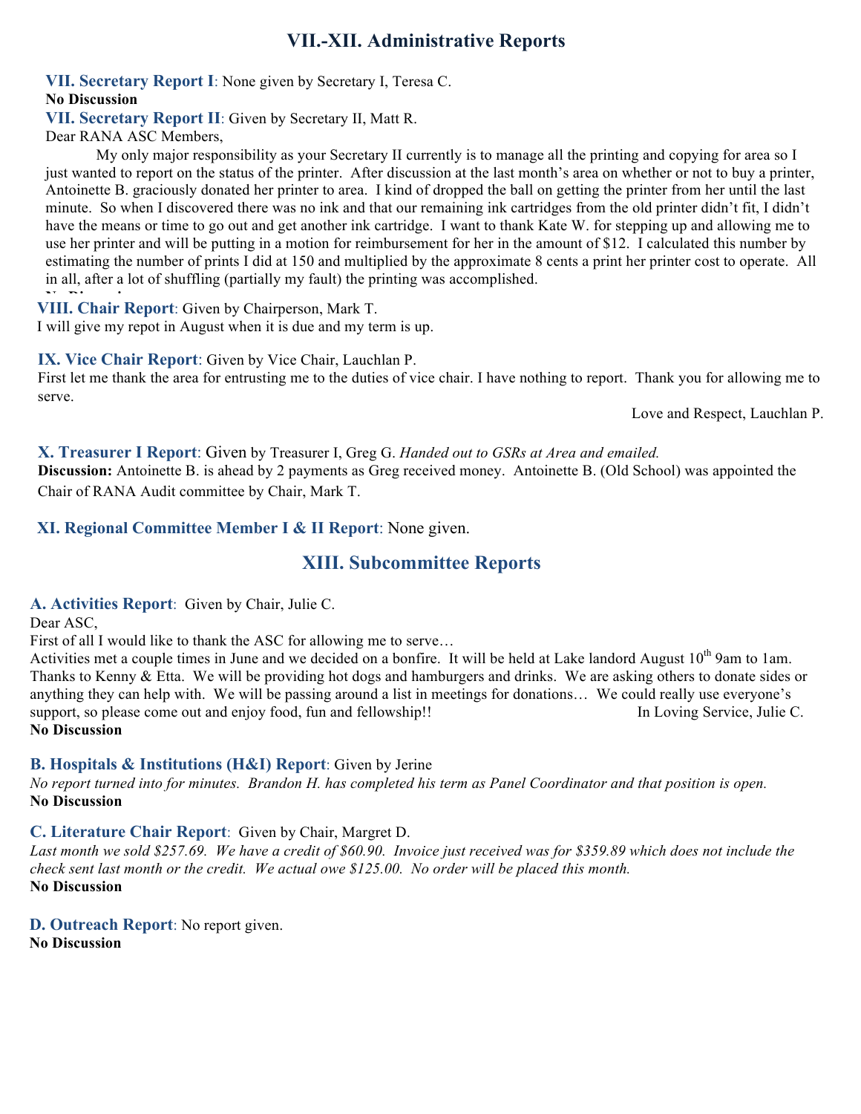## **VII.-XII. Administrative Reports**

**VII. Secretary Report I**: None given by Secretary I, Teresa C. **No Discussion**

**VII. Secretary Report II**: Given by Secretary II, Matt R.

Dear RANA ASC Members,

My only major responsibility as your Secretary II currently is to manage all the printing and copying for area so I just wanted to report on the status of the printer. After discussion at the last month's area on whether or not to buy a printer, Antoinette B. graciously donated her printer to area. I kind of dropped the ball on getting the printer from her until the last minute. So when I discovered there was no ink and that our remaining ink cartridges from the old printer didn't fit, I didn't have the means or time to go out and get another ink cartridge. I want to thank Kate W. for stepping up and allowing me to use her printer and will be putting in a motion for reimbursement for her in the amount of \$12. I calculated this number by estimating the number of prints I did at 150 and multiplied by the approximate 8 cents a print her printer cost to operate. All in all, after a lot of shuffling (partially my fault) the printing was accomplished.

**VIII. Chair Report**: Given by Chairperson, Mark T.

I will give my repot in August when it is due and my term is up.

**IX. Vice Chair Report**: Given by Vice Chair, Lauchlan P.

First let me thank the area for entrusting me to the duties of vice chair. I have nothing to report. Thank you for allowing me to serve.

Love and Respect, Lauchlan P.

**X. Treasurer I Report**: Given by Treasurer I, Greg G. *Handed out to GSRs at Area and emailed.* **Discussion:** Antoinette B. is ahead by 2 payments as Greg received money. Antoinette B. (Old School) was appointed the Chair of RANA Audit committee by Chair, Mark T.

**XI. Regional Committee Member I & II Report**: None given.

## **XIII. Subcommittee Reports**

**A. Activities Report**: Given by Chair, Julie C.

Dear ASC,

First of all I would like to thank the ASC for allowing me to serve…

Activities met a couple times in June and we decided on a bonfire. It will be held at Lake landord August  $10<sup>th</sup>$  9am to 1am. Thanks to Kenny & Etta. We will be providing hot dogs and hamburgers and drinks. We are asking others to donate sides or anything they can help with. We will be passing around a list in meetings for donations… We could really use everyone's support, so please come out and enjoy food, fun and fellowship!! In Loving Service, Julie C. **No Discussion**

#### **B. Hospitals & Institutions (H&I) Report**: Given by Jerine

*No report turned into for minutes. Brandon H. has completed his term as Panel Coordinator and that position is open.* **No Discussion**

**C. Literature Chair Report**: Given by Chair, Margret D.

*Last month we sold \$257.69. We have a credit of \$60.90. Invoice just received was for \$359.89 which does not include the check sent last month or the credit. We actual owe \$125.00. No order will be placed this month.*  **No Discussion**

**D. Outreach Report**: No report given.

**No Discussion**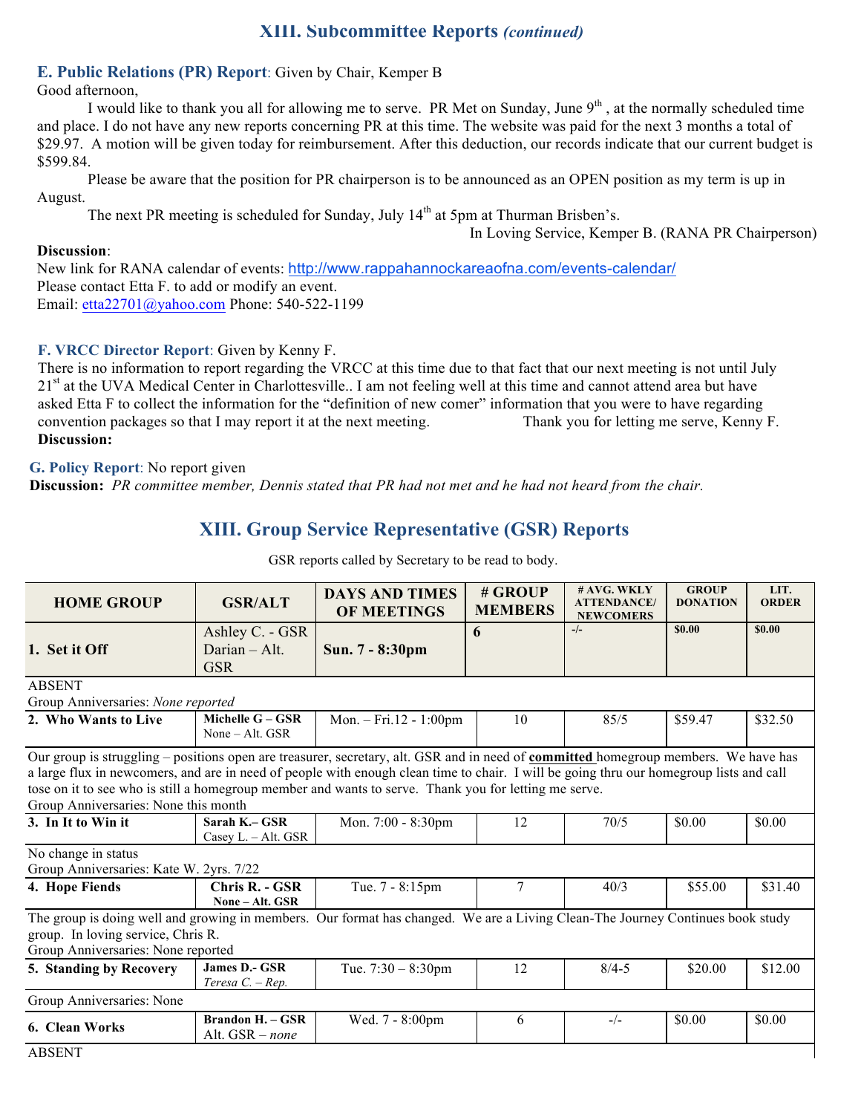## **XIII. Subcommittee Reports** *(continued)*

#### **E. Public Relations (PR) Report**: Given by Chair, Kemper B

Good afternoon,

I would like to thank you all for allowing me to serve. PR Met on Sunday, June  $9<sup>th</sup>$ , at the normally scheduled time and place. I do not have any new reports concerning PR at this time. The website was paid for the next 3 months a total of \$29.97. A motion will be given today for reimbursement. After this deduction, our records indicate that our current budget is \$599.84.

Please be aware that the position for PR chairperson is to be announced as an OPEN position as my term is up in August.

The next PR meeting is scheduled for Sunday, July  $14<sup>th</sup>$  at 5pm at Thurman Brisben's.

In Loving Service, Kemper B. (RANA PR Chairperson)

#### **Discussion**:

New link for RANA calendar of events: http://www.rappahannockareaofna.com/events-calendar/ Please contact Etta F. to add or modify an event. Email: etta22701@yahoo.com Phone: 540-522-1199

#### **F. VRCC Director Report**: Given by Kenny F.

There is no information to report regarding the VRCC at this time due to that fact that our next meeting is not until July 21<sup>st</sup> at the UVA Medical Center in Charlottesville. I am not feeling well at this time and cannot attend area but have asked Etta F to collect the information for the "definition of new comer" information that you were to have regarding convention packages so that I may report it at the next meeting. Thank you for letting me serve, Kenny F. **Discussion:**

#### **G. Policy Report**: No report given

**Discussion:** *PR committee member, Dennis stated that PR had not met and he had not heard from the chair.*

## **XIII. Group Service Representative (GSR) Reports**

| <b>HOME GROUP</b>                                                                                                                                                                                                                                                                                                                                                                                                                      | <b>GSR/ALT</b>                               | <b>DAYS AND TIMES</b><br><b>OF MEETINGS</b> | # GROUP<br><b>MEMBERS</b> | # AVG. WKLY<br><b>ATTENDANCE/</b><br><b>NEWCOMERS</b> | <b>GROUP</b><br><b>DONATION</b> | LIT.<br><b>ORDER</b> |  |
|----------------------------------------------------------------------------------------------------------------------------------------------------------------------------------------------------------------------------------------------------------------------------------------------------------------------------------------------------------------------------------------------------------------------------------------|----------------------------------------------|---------------------------------------------|---------------------------|-------------------------------------------------------|---------------------------------|----------------------|--|
|                                                                                                                                                                                                                                                                                                                                                                                                                                        | Ashley C. - GSR                              |                                             | 6                         | $-/-$                                                 | \$0.00                          | \$0.00               |  |
| 1. Set it Off                                                                                                                                                                                                                                                                                                                                                                                                                          | Darian - Alt.<br><b>GSR</b>                  | Sun. 7 - 8:30pm                             |                           |                                                       |                                 |                      |  |
| <b>ABSENT</b><br>Group Anniversaries: None reported                                                                                                                                                                                                                                                                                                                                                                                    |                                              |                                             |                           |                                                       |                                 |                      |  |
| 2. Who Wants to Live                                                                                                                                                                                                                                                                                                                                                                                                                   | Michelle $G - GSR$<br>None $-$ Alt. GSR      | Mon. $-$ Fri.12 - 1:00pm                    | 10                        | 85/5                                                  | \$59.47                         | \$32.50              |  |
| Our group is struggling – positions open are treasurer, secretary, alt. GSR and in need of <b>committed</b> homegroup members. We have has<br>a large flux in newcomers, and are in need of people with enough clean time to chair. I will be going thru our homegroup lists and call<br>tose on it to see who is still a homegroup member and wants to serve. Thank you for letting me serve.<br>Group Anniversaries: None this month |                                              |                                             |                           |                                                       |                                 |                      |  |
| 3. In It to Win it                                                                                                                                                                                                                                                                                                                                                                                                                     | Sarah K.- GSR<br>Casey L. - Alt. GSR         | Mon. 7:00 - 8:30pm                          | 12                        | 70/5                                                  | \$0.00                          | \$0.00               |  |
| No change in status<br>Group Anniversaries: Kate W. 2yrs. 7/22                                                                                                                                                                                                                                                                                                                                                                         |                                              |                                             |                           |                                                       |                                 |                      |  |
| 4. Hope Fiends                                                                                                                                                                                                                                                                                                                                                                                                                         | Chris R. - GSR<br>None - Alt. GSR            | Tue. 7 - 8:15pm                             | $\tau$                    | 40/3                                                  | \$55.00                         | \$31.40              |  |
| The group is doing well and growing in members. Our format has changed. We are a Living Clean-The Journey Continues book study<br>group. In loving service, Chris R.<br>Group Anniversaries: None reported                                                                                                                                                                                                                             |                                              |                                             |                           |                                                       |                                 |                      |  |
| 5. Standing by Recovery                                                                                                                                                                                                                                                                                                                                                                                                                | <b>James D.- GSR</b><br>Teresa $C - Rep$ .   | Tue. $7:30 - 8:30$ pm                       | 12                        | $8/4 - 5$                                             | \$20.00                         | \$12.00              |  |
| Group Anniversaries: None                                                                                                                                                                                                                                                                                                                                                                                                              |                                              |                                             |                           |                                                       |                                 |                      |  |
| 6. Clean Works<br>A DCEMT                                                                                                                                                                                                                                                                                                                                                                                                              | <b>Brandon H. – GSR</b><br>Alt. $GSR - none$ | Wed. 7 - 8:00pm                             | 6                         | $-/-$                                                 | \$0.00                          | \$0.00               |  |

GSR reports called by Secretary to be read to body.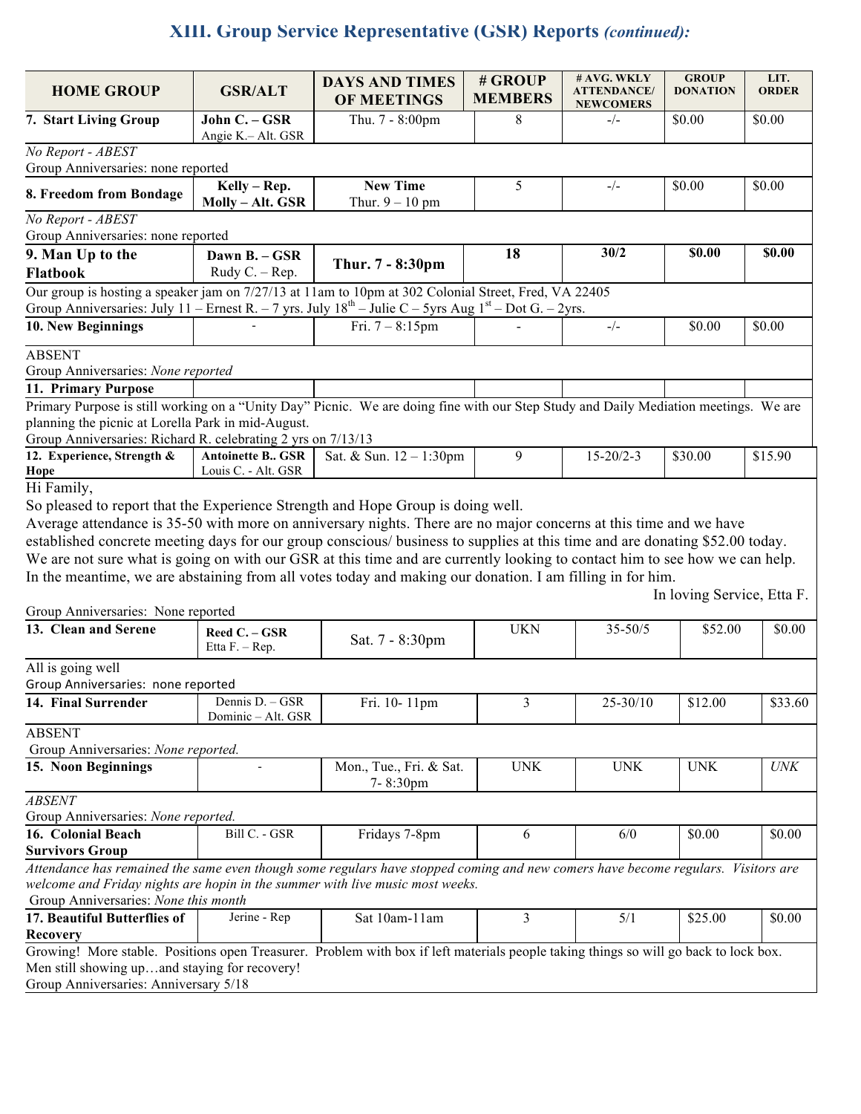## **XIII. Group Service Representative (GSR) Reports** *(continued):*

| <b>HOME GROUP</b>                                                                                                                                                                                                                                                                                                                                                                                                                                                                                                                                                                                                                    | <b>GSR/ALT</b>                                   | <b>DAYS AND TIMES</b><br>OF MEETINGS | # GROUP<br><b>MEMBERS</b> | # AVG. WKLY<br><b>ATTENDANCE/</b><br><b>NEWCOMERS</b> | <b>GROUP</b><br><b>DONATION</b> | LIT.<br><b>ORDER</b> |
|--------------------------------------------------------------------------------------------------------------------------------------------------------------------------------------------------------------------------------------------------------------------------------------------------------------------------------------------------------------------------------------------------------------------------------------------------------------------------------------------------------------------------------------------------------------------------------------------------------------------------------------|--------------------------------------------------|--------------------------------------|---------------------------|-------------------------------------------------------|---------------------------------|----------------------|
| 7. Start Living Group                                                                                                                                                                                                                                                                                                                                                                                                                                                                                                                                                                                                                | John C. - GSR<br>Angie K.- Alt. GSR              | Thu. 7 - 8:00pm                      | 8                         | $-/-$                                                 | \$0.00                          | \$0.00               |
| No Report - ABEST<br>Group Anniversaries: none reported                                                                                                                                                                                                                                                                                                                                                                                                                                                                                                                                                                              |                                                  |                                      |                           |                                                       |                                 |                      |
| 8. Freedom from Bondage                                                                                                                                                                                                                                                                                                                                                                                                                                                                                                                                                                                                              | Kelly - Rep.<br>Molly - Alt. GSR                 | <b>New Time</b><br>Thur. $9 - 10$ pm | 5                         | $-/-$                                                 | \$0.00                          | \$0.00               |
| No Report - ABEST<br>Group Anniversaries: none reported                                                                                                                                                                                                                                                                                                                                                                                                                                                                                                                                                                              |                                                  |                                      |                           |                                                       |                                 |                      |
| 9. Man Up to the<br>Flatbook                                                                                                                                                                                                                                                                                                                                                                                                                                                                                                                                                                                                         | Dawn B. - GSR<br>Rudy $C. - Rep.$                | Thur. 7 - 8:30pm                     | 18                        | 30/2                                                  | \$0.00                          | \$0.00               |
| Our group is hosting a speaker jam on 7/27/13 at 11am to 10pm at 302 Colonial Street, Fred, VA 22405<br>Group Anniversaries: July 11 – Ernest R. – 7 yrs. July $18^{th}$ – Julie C – 5 yrs Aug $1^{st}$ – Dot G. – 2 yrs.                                                                                                                                                                                                                                                                                                                                                                                                            |                                                  |                                      |                           |                                                       |                                 |                      |
| 10. New Beginnings                                                                                                                                                                                                                                                                                                                                                                                                                                                                                                                                                                                                                   |                                                  | Fri. $7 - 8:15$ pm                   |                           | $-/-$                                                 | \$0.00                          | \$0.00               |
| <b>ABSENT</b><br>Group Anniversaries: None reported                                                                                                                                                                                                                                                                                                                                                                                                                                                                                                                                                                                  |                                                  |                                      |                           |                                                       |                                 |                      |
| 11. Primary Purpose                                                                                                                                                                                                                                                                                                                                                                                                                                                                                                                                                                                                                  |                                                  |                                      |                           |                                                       |                                 |                      |
| Primary Purpose is still working on a "Unity Day" Picnic. We are doing fine with our Step Study and Daily Mediation meetings. We are<br>planning the picnic at Lorella Park in mid-August.<br>Group Anniversaries: Richard R. celebrating 2 yrs on 7/13/13                                                                                                                                                                                                                                                                                                                                                                           |                                                  |                                      |                           |                                                       |                                 |                      |
| 12. Experience, Strength &<br>Hope                                                                                                                                                                                                                                                                                                                                                                                                                                                                                                                                                                                                   | <b>Antoinette B., GSR</b><br>Louis C. - Alt. GSR | Sat. & Sun. 12 - 1:30pm              | 9                         | $15 - 20/2 - 3$                                       | \$30.00                         | \$15.90              |
| Hi Family,<br>So pleased to report that the Experience Strength and Hope Group is doing well.<br>Average attendance is 35-50 with more on anniversary nights. There are no major concerns at this time and we have<br>established concrete meeting days for our group conscious/ business to supplies at this time and are donating \$52.00 today.<br>We are not sure what is going on with our GSR at this time and are currently looking to contact him to see how we can help.<br>In the meantime, we are abstaining from all votes today and making our donation. I am filling in for him.<br>Group Anniversaries: None reported |                                                  |                                      |                           |                                                       | In loving Service, Etta F.      |                      |
| 13. Clean and Serene                                                                                                                                                                                                                                                                                                                                                                                                                                                                                                                                                                                                                 | Reed C. - GSR<br>Etta $F. - Rep.$                | Sat. 7 - 8:30pm                      | <b>UKN</b>                | $35 - 50/5$                                           | \$52.00                         | \$0.00               |
| All is going well<br>Group Anniversaries: none reported                                                                                                                                                                                                                                                                                                                                                                                                                                                                                                                                                                              |                                                  |                                      |                           |                                                       |                                 |                      |
| 14. Final Surrender                                                                                                                                                                                                                                                                                                                                                                                                                                                                                                                                                                                                                  | Dennis $D - GSR$<br>Dominic - Alt. GSR           | Fri. $10-11$ pm                      | 3                         | 25-30/10                                              | \$12.00                         | \$33.60              |
| <b>ABSENT</b><br>Group Anniversaries: None reported.                                                                                                                                                                                                                                                                                                                                                                                                                                                                                                                                                                                 |                                                  |                                      |                           |                                                       |                                 |                      |
| 15. Noon Beginnings                                                                                                                                                                                                                                                                                                                                                                                                                                                                                                                                                                                                                  |                                                  | Mon., Tue., Fri. & Sat.<br>7-8:30pm  | $\ensuremath{\text{UNK}}$ | <b>UNK</b>                                            | <b>UNK</b>                      | <b>UNK</b>           |
| <b>ABSENT</b>                                                                                                                                                                                                                                                                                                                                                                                                                                                                                                                                                                                                                        |                                                  |                                      |                           |                                                       |                                 |                      |
| Group Anniversaries: None reported.<br>16. Colonial Beach                                                                                                                                                                                                                                                                                                                                                                                                                                                                                                                                                                            | Bill C. - GSR                                    | Fridays 7-8pm                        | 6                         | 6/0                                                   | \$0.00                          | \$0.00               |
| <b>Survivors Group</b>                                                                                                                                                                                                                                                                                                                                                                                                                                                                                                                                                                                                               |                                                  |                                      |                           |                                                       |                                 |                      |
| Attendance has remained the same even though some regulars have stopped coming and new comers have become regulars. Visitors are<br>welcome and Friday nights are hopin in the summer with live music most weeks.<br>Group Anniversaries: None this month                                                                                                                                                                                                                                                                                                                                                                            |                                                  |                                      |                           |                                                       |                                 |                      |
| 17. Beautiful Butterflies of                                                                                                                                                                                                                                                                                                                                                                                                                                                                                                                                                                                                         | Jerine - Rep                                     | Sat 10am-11am                        | 3                         | 5/1                                                   | \$25.00                         | \$0.00               |
| Recovery<br>Growing! More stable. Positions open Treasurer. Problem with box if left materials people taking things so will go back to lock box.<br>Men still showing upand staying for recovery!<br>Group Anniversaries: Anniversary 5/18                                                                                                                                                                                                                                                                                                                                                                                           |                                                  |                                      |                           |                                                       |                                 |                      |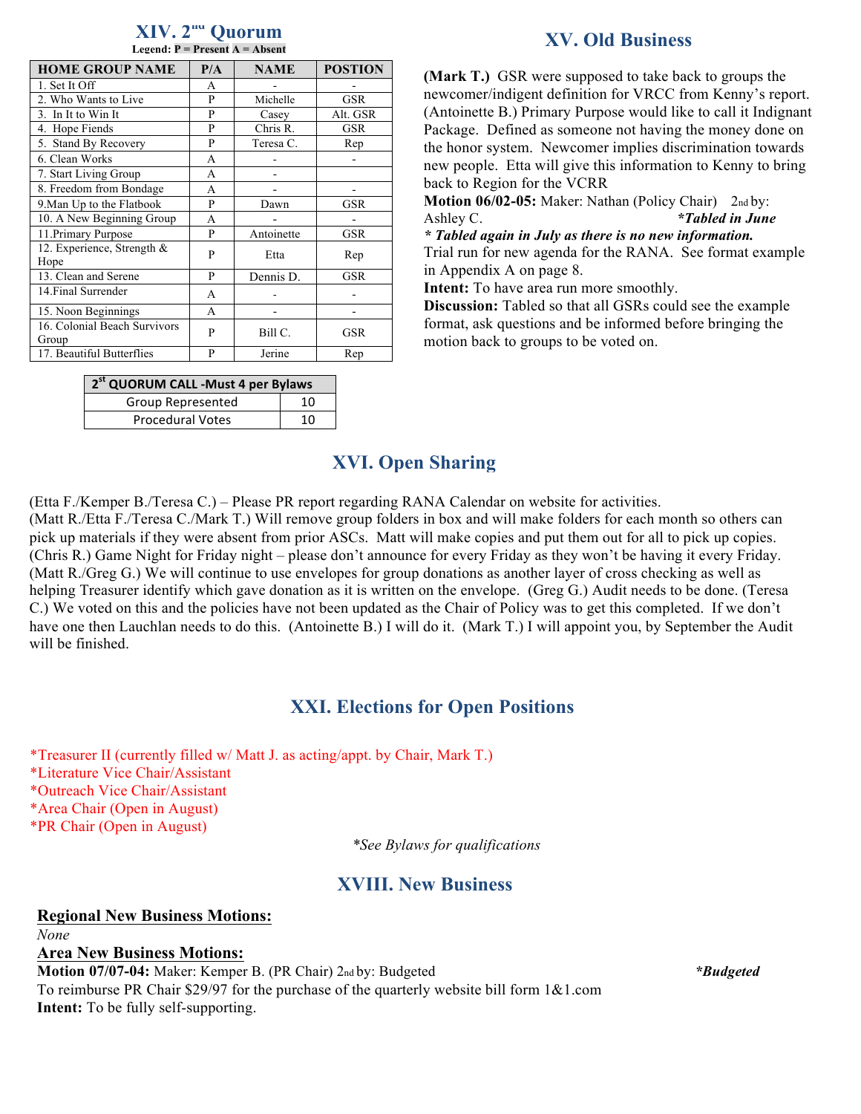| Legend: $P = Present A = Absent$      |     |             |                |  |  |  |
|---------------------------------------|-----|-------------|----------------|--|--|--|
| <b>HOME GROUP NAME</b>                | P/A | <b>NAME</b> | <b>POSTION</b> |  |  |  |
| 1. Set It Off                         | A   |             |                |  |  |  |
| 2. Who Wants to Live                  | P   | Michelle    | <b>GSR</b>     |  |  |  |
| 3. In It to Win It                    | P   | Casey       | Alt. GSR       |  |  |  |
| 4. Hope Fiends                        | P   | Chris R.    | GSR            |  |  |  |
| 5. Stand By Recovery                  | P   | Teresa C.   | Rep            |  |  |  |
| 6. Clean Works                        | A   |             |                |  |  |  |
| 7. Start Living Group                 | A   |             |                |  |  |  |
| 8. Freedom from Bondage               | A   |             |                |  |  |  |
| 9. Man Up to the Flatbook             | P   | Dawn        | GSR            |  |  |  |
| 10. A New Beginning Group             | A   |             |                |  |  |  |
| 11. Primary Purpose                   | P   | Antoinette  | GSR            |  |  |  |
| 12. Experience, Strength &<br>Hope    | P   | Etta        | Rep            |  |  |  |
| 13. Clean and Serene                  | P   | Dennis D.   | GSR            |  |  |  |
| 14. Final Surrender                   | A   |             |                |  |  |  |
| 15. Noon Beginnings                   | A   |             |                |  |  |  |
| 16. Colonial Beach Survivors<br>Group | P   | Bill C.     | GSR            |  |  |  |
| 17. Beautiful Butterflies             | P   | Jerine      | Rep            |  |  |  |

**XIV. 2nd Quorum**

| 2 <sup>st</sup> QUORUM CALL - Must 4 per Bylaws |    |  |  |  |
|-------------------------------------------------|----|--|--|--|
| Group Represented                               | 10 |  |  |  |
| <b>Procedural Votes</b>                         | 10 |  |  |  |

### **XV. Old Business**

**(Mark T.)** GSR were supposed to take back to groups the newcomer/indigent definition for VRCC from Kenny's report. (Antoinette B.) Primary Purpose would like to call it Indignant Package. Defined as someone not having the money done on the honor system. Newcomer implies discrimination towards new people. Etta will give this information to Kenny to bring back to Region for the VCRR

**Motion 06/02-05:** Maker: Nathan (Policy Chair) 2nd by: Ashley C. *\*Tabled in June* 

*\* Tabled again in July as there is no new information.* Trial run for new agenda for the RANA. See format example in Appendix A on page 8.

**Intent:** To have area run more smoothly.

**Discussion:** Tabled so that all GSRs could see the example format, ask questions and be informed before bringing the motion back to groups to be voted on.

## **XVI. Open Sharing**

(Etta F./Kemper B./Teresa C.) – Please PR report regarding RANA Calendar on website for activities. (Matt R./Etta F./Teresa C./Mark T.) Will remove group folders in box and will make folders for each month so others can pick up materials if they were absent from prior ASCs. Matt will make copies and put them out for all to pick up copies. (Chris R.) Game Night for Friday night – please don't announce for every Friday as they won't be having it every Friday. (Matt R./Greg G.) We will continue to use envelopes for group donations as another layer of cross checking as well as helping Treasurer identify which gave donation as it is written on the envelope. (Greg G.) Audit needs to be done. (Teresa C.) We voted on this and the policies have not been updated as the Chair of Policy was to get this completed. If we don't have one then Lauchlan needs to do this. (Antoinette B.) I will do it. (Mark T.) I will appoint you, by September the Audit will be finished.

## **XXI. Elections for Open Positions**

\*Treasurer II (currently filled w/ Matt J. as acting/appt. by Chair, Mark T.)

\*Literature Vice Chair/Assistant

\*Outreach Vice Chair/Assistant

\*Area Chair (Open in August)

\*PR Chair (Open in August)

*\*See Bylaws for qualifications*

## **XVIII. New Business**

#### **Regional New Business Motions:** *None*

#### **Area New Business Motions:**

**Motion 07/07-04:** Maker: Kemper B. (PR Chair) 2nd by: Budgeted *\*Budgeted* To reimburse PR Chair \$29/97 for the purchase of the quarterly website bill form  $1\&1$ .com **Intent:** To be fully self-supporting.